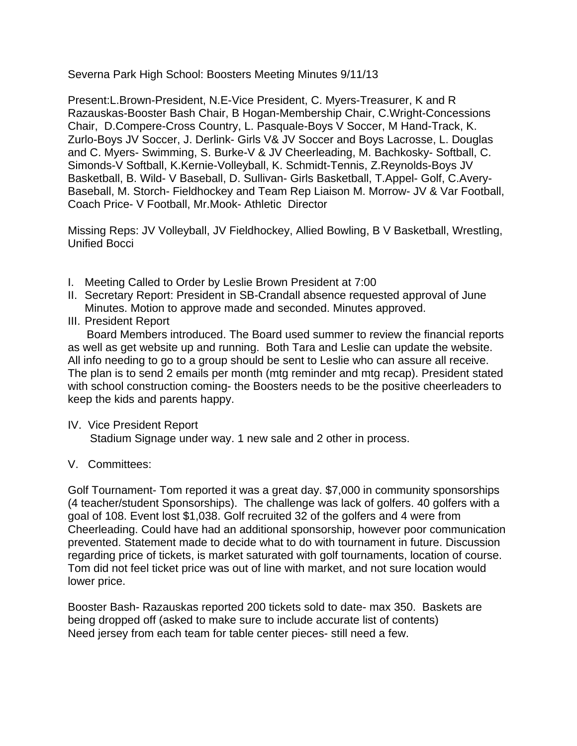Severna Park High School: Boosters Meeting Minutes 9/11/13

Present:L.Brown-President, N.E-Vice President, C. Myers-Treasurer, K and R Razauskas-Booster Bash Chair, B Hogan-Membership Chair, C.Wright-Concessions Chair, D.Compere-Cross Country, L. Pasquale-Boys V Soccer, M Hand-Track, K. Zurlo-Boys JV Soccer, J. Derlink- Girls V& JV Soccer and Boys Lacrosse, L. Douglas and C. Myers- Swimming, S. Burke-V & JV Cheerleading, M. Bachkosky- Softball, C. Simonds-V Softball, K.Kernie-Volleyball, K. Schmidt-Tennis, Z.Reynolds-Boys JV Basketball, B. Wild- V Baseball, D. Sullivan- Girls Basketball, T.Appel- Golf, C.Avery-Baseball, M. Storch- Fieldhockey and Team Rep Liaison M. Morrow- JV & Var Football, Coach Price- V Football, Mr.Mook- Athletic Director

Missing Reps: JV Volleyball, JV Fieldhockey, Allied Bowling, B V Basketball, Wrestling, Unified Bocci

- I. Meeting Called to Order by Leslie Brown President at 7:00
- II. Secretary Report: President in SB-Crandall absence requested approval of June Minutes. Motion to approve made and seconded. Minutes approved.
- III. President Report

 Board Members introduced. The Board used summer to review the financial reports as well as get website up and running. Both Tara and Leslie can update the website. All info needing to go to a group should be sent to Leslie who can assure all receive. The plan is to send 2 emails per month (mtg reminder and mtg recap). President stated with school construction coming- the Boosters needs to be the positive cheerleaders to keep the kids and parents happy.

# IV. Vice President Report

Stadium Signage under way. 1 new sale and 2 other in process.

# V. Committees:

Golf Tournament- Tom reported it was a great day. \$7,000 in community sponsorships (4 teacher/student Sponsorships). The challenge was lack of golfers. 40 golfers with a goal of 108. Event lost \$1,038. Golf recruited 32 of the golfers and 4 were from Cheerleading. Could have had an additional sponsorship, however poor communication prevented. Statement made to decide what to do with tournament in future. Discussion regarding price of tickets, is market saturated with golf tournaments, location of course. Tom did not feel ticket price was out of line with market, and not sure location would lower price.

Booster Bash- Razauskas reported 200 tickets sold to date- max 350. Baskets are being dropped off (asked to make sure to include accurate list of contents) Need jersey from each team for table center pieces- still need a few.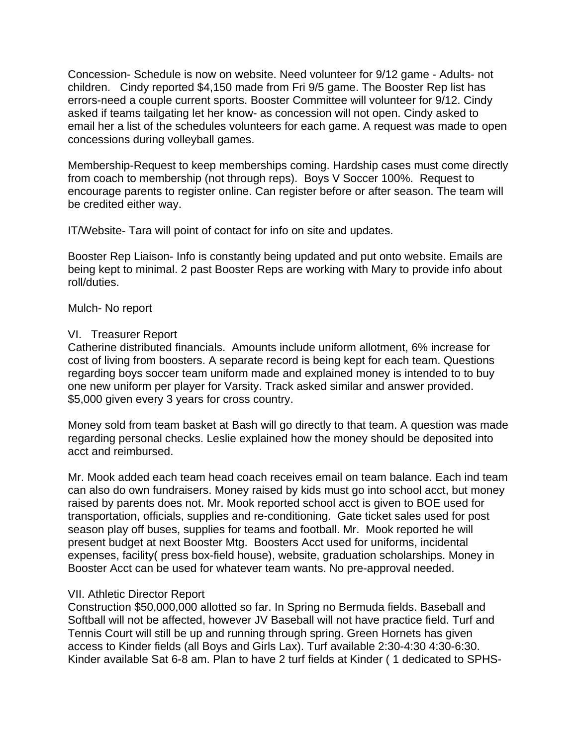Concession- Schedule is now on website. Need volunteer for 9/12 game - Adults- not children. Cindy reported \$4,150 made from Fri 9/5 game. The Booster Rep list has errors-need a couple current sports. Booster Committee will volunteer for 9/12. Cindy asked if teams tailgating let her know- as concession will not open. Cindy asked to email her a list of the schedules volunteers for each game. A request was made to open concessions during volleyball games.

Membership-Request to keep memberships coming. Hardship cases must come directly from coach to membership (not through reps). Boys V Soccer 100%. Request to encourage parents to register online. Can register before or after season. The team will be credited either way.

IT/Website- Tara will point of contact for info on site and updates.

Booster Rep Liaison- Info is constantly being updated and put onto website. Emails are being kept to minimal. 2 past Booster Reps are working with Mary to provide info about roll/duties.

Mulch- No report

### VI. Treasurer Report

Catherine distributed financials. Amounts include uniform allotment, 6% increase for cost of living from boosters. A separate record is being kept for each team. Questions regarding boys soccer team uniform made and explained money is intended to to buy one new uniform per player for Varsity. Track asked similar and answer provided. \$5,000 given every 3 years for cross country.

Money sold from team basket at Bash will go directly to that team. A question was made regarding personal checks. Leslie explained how the money should be deposited into acct and reimbursed.

Mr. Mook added each team head coach receives email on team balance. Each ind team can also do own fundraisers. Money raised by kids must go into school acct, but money raised by parents does not. Mr. Mook reported school acct is given to BOE used for transportation, officials, supplies and re-conditioning. Gate ticket sales used for post season play off buses, supplies for teams and football. Mr. Mook reported he will present budget at next Booster Mtg. Boosters Acct used for uniforms, incidental expenses, facility( press box-field house), website, graduation scholarships. Money in Booster Acct can be used for whatever team wants. No pre-approval needed.

# VII. Athletic Director Report

Construction \$50,000,000 allotted so far. In Spring no Bermuda fields. Baseball and Softball will not be affected, however JV Baseball will not have practice field. Turf and Tennis Court will still be up and running through spring. Green Hornets has given access to Kinder fields (all Boys and Girls Lax). Turf available 2:30-4:30 4:30-6:30. Kinder available Sat 6-8 am. Plan to have 2 turf fields at Kinder ( 1 dedicated to SPHS-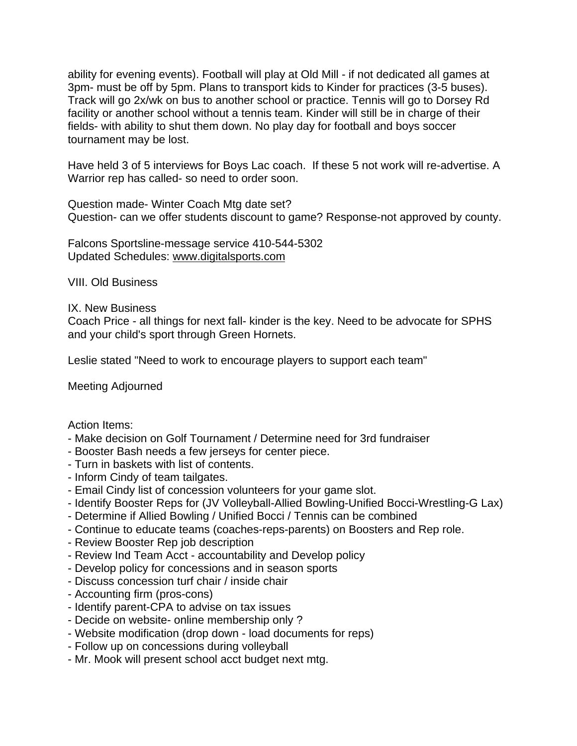ability for evening events). Football will play at Old Mill - if not dedicated all games at 3pm- must be off by 5pm. Plans to transport kids to Kinder for practices (3-5 buses). Track will go 2x/wk on bus to another school or practice. Tennis will go to Dorsey Rd facility or another school without a tennis team. Kinder will still be in charge of their fields- with ability to shut them down. No play day for football and boys soccer tournament may be lost.

Have held 3 of 5 interviews for Boys Lac coach. If these 5 not work will re-advertise. A Warrior rep has called- so need to order soon.

Question made- Winter Coach Mtg date set? Question- can we offer students discount to game? Response-not approved by county.

Falcons Sportsline-message service 410-544-5302 Updated Schedules: www.digitalsports.com

VIII. Old Business

#### IX. New Business

Coach Price - all things for next fall- kinder is the key. Need to be advocate for SPHS and your child's sport through Green Hornets.

Leslie stated "Need to work to encourage players to support each team"

Meeting Adjourned

Action Items:

- Make decision on Golf Tournament / Determine need for 3rd fundraiser
- Booster Bash needs a few jerseys for center piece.
- Turn in baskets with list of contents.
- Inform Cindy of team tailgates.
- Email Cindy list of concession volunteers for your game slot.
- Identify Booster Reps for (JV Volleyball-Allied Bowling-Unified Bocci-Wrestling-G Lax)
- Determine if Allied Bowling / Unified Bocci / Tennis can be combined
- Continue to educate teams (coaches-reps-parents) on Boosters and Rep role.
- Review Booster Rep job description
- Review Ind Team Acct accountability and Develop policy
- Develop policy for concessions and in season sports
- Discuss concession turf chair / inside chair
- Accounting firm (pros-cons)
- Identify parent-CPA to advise on tax issues
- Decide on website- online membership only ?
- Website modification (drop down load documents for reps)
- Follow up on concessions during volleyball
- Mr. Mook will present school acct budget next mtg.